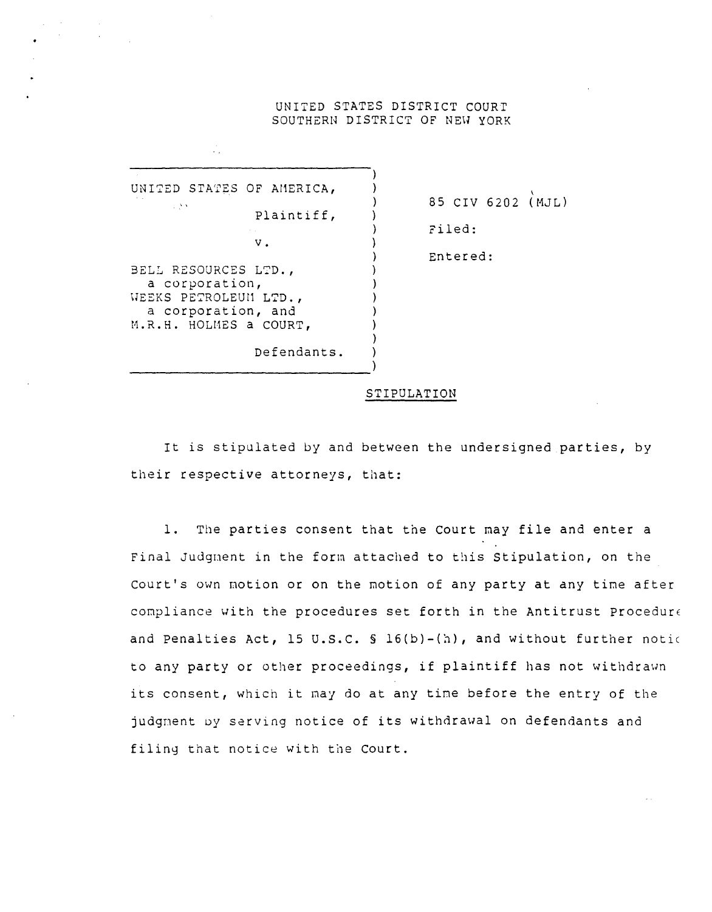## UNITED STATES DISTRICT COURT SOUTHERN DISTRICT OF NEW YORK

) ) ) ) ) ) ) ) ) ) ) ) ) )

UNITED STATES OF AMERICA,  $\sim 100$  M  $_\odot$ Plaintiff, v. BELL RESOURCES LTD., a corporation, WEEKS PETROLEUM LTD., a corporation, and M.R.H. HOLMES a COURT, Defendants.

чÙ.

-----------------------------)

85 CIV 6202 (MJL) 2iled: Entered:

## STIPULATION

It is stipulated by and between the undersigned parties, by their respective attorneys, that:

1. The parties consent that the Court may file and enter a Final Judgnent in the form attached to this Stipulation, on the Court's own notion or on the motion of any party at dny time after compliance with the procedures set forth in the Antitrust Procedur $\epsilon$ and Penalties Act, 15 U.S.C.  $S_1(G(b)-(h))$ , and without further notic to any party or other proceedings, if plaintiff has not withdrawn its consent, which it may do at any tine before the entry of the judgment by serving notice of its withdrawal on defendants and filing that notice with the Court.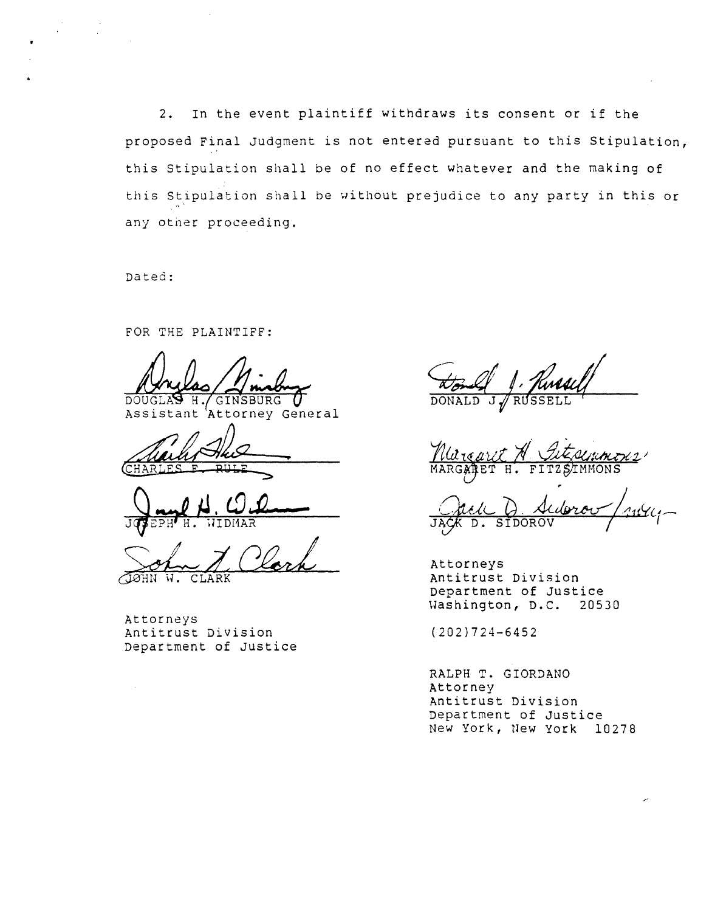2. In the event plaintiff withdraws its consent or if the proposed Final Judgment is not entered pursuant to this Stipulation, this Stipulation shall be of no effect whatever and the making of this Stipulation shall be without prejudice to any party in this or any other proceeding.

Dated:

FOR THE PLAINTIFF:

 $\overline{D} \overline{O} U$ 

 $H$ 'Attorney General Assistant

**...,.**  CHAR

J<sub>um</sub>e H. O. O

SOL Lerk

Attorneys

Antitrust Division Department of Justice

Attorneys Antitrust Division Department of Justice Washington, D.C. 20530

(202)724-6452

RALPH T. GIORDANO Attorney Antitrust Division Department of Justice New York, New York 10278